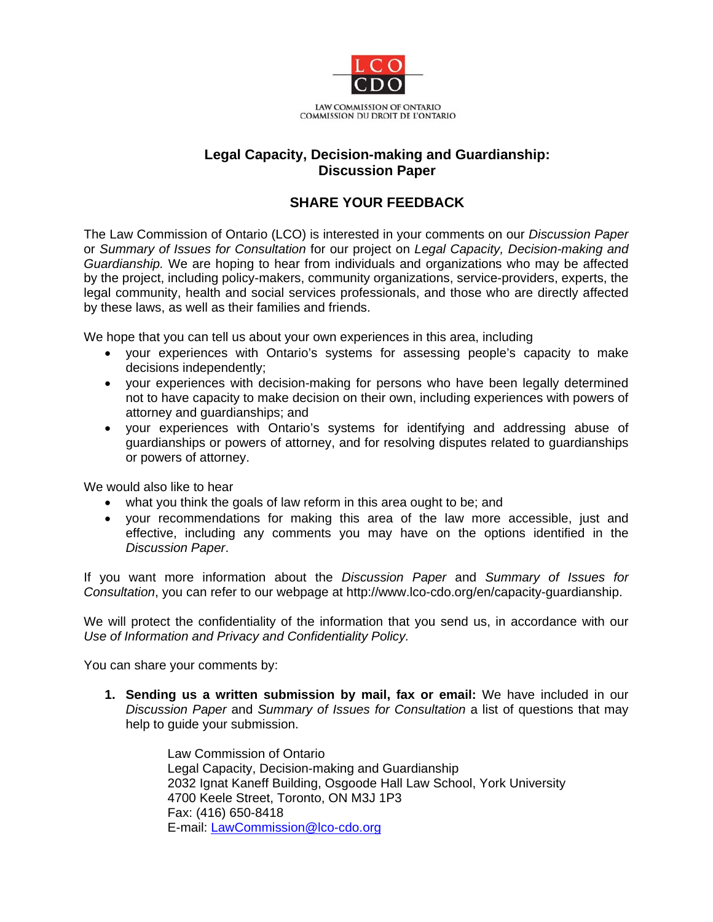

## **Legal Capacity, Decision-making and Guardianship: Discussion Paper**

## **SHARE YOUR FEEDBACK**

The Law Commission of Ontario (LCO) is interested in your comments on our *Discussion Paper* or *Summary of Issues for Consultation* for our project on *Legal Capacity, Decision-making and Guardianship.* We are hoping to hear from individuals and organizations who may be affected by the project, including policy-makers, community organizations, service-providers, experts, the legal community, health and social services professionals, and those who are directly affected by these laws, as well as their families and friends.

We hope that you can tell us about your own experiences in this area, including

- your experiences with Ontario's systems for assessing people's capacity to make decisions independently;
- your experiences with decision-making for persons who have been legally determined not to have capacity to make decision on their own, including experiences with powers of attorney and guardianships; and
- your experiences with Ontario's systems for identifying and addressing abuse of guardianships or powers of attorney, and for resolving disputes related to guardianships or powers of attorney.

We would also like to hear

- what you think the goals of law reform in this area ought to be; and
- your recommendations for making this area of the law more accessible, just and effective, including any comments you may have on the options identified in the *Discussion Paper*.

If you want more information about the *Discussion Paper* and *Summary of Issues for Consultation*, you can refer to our webpage at http://www.lco-cdo.org/en/capacity-guardianship.

We will protect the confidentiality of the information that you send us, in accordance with our *Use of Information and Privacy and Confidentiality Policy.* 

You can share your comments by:

**1. Sending us a written submission by mail, fax or email:** We have included in our *Discussion Paper* and *Summary of Issues for Consultation* a list of questions that may help to guide your submission.

> Law Commission of Ontario Legal Capacity, Decision-making and Guardianship 2032 Ignat Kaneff Building, Osgoode Hall Law School, York University 4700 Keele Street, Toronto, ON M3J 1P3 Fax: (416) 650-8418 E-mail: LawCommission@lco-cdo.org